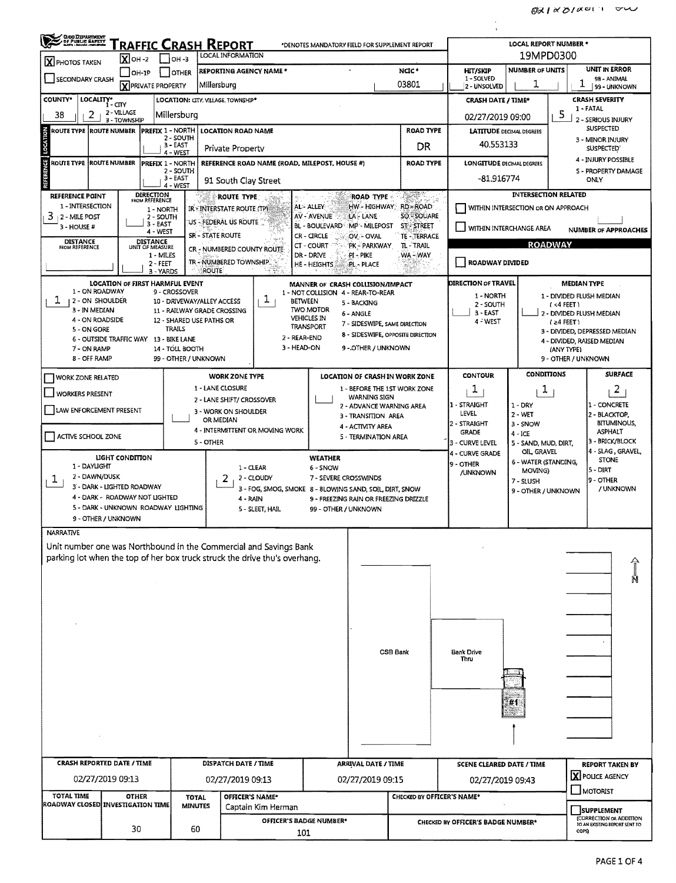| <b>CHOLDEPARTMENT</b><br>/ OF PUBLIC EAFETY                                                                                             |                                |                                                         |                                                         |                                                                            |                                                                                                  |                                           |                                               |                                    |                                                                                      |  |  |  |
|-----------------------------------------------------------------------------------------------------------------------------------------|--------------------------------|---------------------------------------------------------|---------------------------------------------------------|----------------------------------------------------------------------------|--------------------------------------------------------------------------------------------------|-------------------------------------------|-----------------------------------------------|------------------------------------|--------------------------------------------------------------------------------------|--|--|--|
| Traffic Crash Report<br>*DENOTES MANDATORY FIELD FOR SUPPLEMENT REPORT<br>LOCAL INFORMATION<br>$X$ OH-2<br>$ OH - 3 $<br>X PHOTOS TAKEN |                                |                                                         |                                                         |                                                                            |                                                                                                  | <b>LOCAL REPORT NUMBER *</b><br>19MPD0300 |                                               |                                    |                                                                                      |  |  |  |
| <b>SECONDARY CRASH</b>                                                                                                                  | $OH-1P$                        | <b>OTHER</b>                                            |                                                         | <b>REPORTING AGENCY NAME *</b>                                             |                                                                                                  | NGC*                                      | <b>HIT/SKIP</b><br>1 - SOLVED                 | <b>NUMBER OF UNITS</b>             | <b>UNIT IN ERROR</b><br>98 - ANIMAL                                                  |  |  |  |
|                                                                                                                                         |                                | <b>X PRIVATE PROPERTY</b>                               | Millersburg                                             |                                                                            |                                                                                                  | 03801                                     | 2 UNSOLVED                                    | ı                                  | ı<br>99 - UNKNOWN                                                                    |  |  |  |
| COUNTY*<br>LOCALITY*<br>38<br>2                                                                                                         | í-CTY<br>2 - VILLAGE           | Millersburg                                             | LOCATION: CITY. VILLAGE, TOWNSHIP*                      |                                                                            |                                                                                                  |                                           | <b>CRASH DATE / TIME*</b><br>02/27/2019 09:00 |                                    | <b>CRASH SEVERITY</b><br>1 - FATAL<br>5                                              |  |  |  |
| ROUTE TYPE ROUTE NUMBER                                                                                                                 | 3 - TOWNSHIP                   | <b>PREFIX 1 - NORTH</b>                                 |                                                         | <b>LOCATION ROAD NAME</b>                                                  |                                                                                                  | <b>ROAD TYPE</b>                          | <b>LATITUDE DECIMAL DEGREES</b>               |                                    | 2 - SERIOUS INJURY<br><b>SUSPECTED</b>                                               |  |  |  |
| LOCATION                                                                                                                                |                                | 2 - SOUTH<br>$3 - EAST$                                 | Private Property                                        |                                                                            |                                                                                                  | DR                                        | 40.553133                                     |                                    | 3 - MINOR INJURY<br><b>SUSPECTED</b>                                                 |  |  |  |
| <b>ROUTE TYPE ROUTE NUMBER</b>                                                                                                          |                                | 4 - WEST<br>PREFIX 1 - NORTH                            |                                                         | REFERENCE ROAD NAME (ROAD, MILEPOST, HOUSE #)                              |                                                                                                  | <b>ROAD TYPE</b>                          | <b>LONGITUDE DECIMAL DEGREES</b>              |                                    | 4 - INJURY POSSIBLE                                                                  |  |  |  |
| <b>REFERENCE</b>                                                                                                                        |                                | 2 - SOUTH<br>3 - EAST<br>4 - WEST                       |                                                         | 91 South Clay Street                                                       |                                                                                                  |                                           | -81.916774                                    |                                    | <b>S - PROPERTY DAMAGE</b><br>ONLY                                                   |  |  |  |
| <b>REFERENCE POINT</b>                                                                                                                  |                                | <b>DIRECTION</b><br>FROM REFERENCE                      |                                                         | ROUTE TYPE                                                                 | ROAD TYPE                                                                                        | Listen Store                              |                                               | <b>INTERSECTION RELATED</b>        |                                                                                      |  |  |  |
| 1 - INTERSECTION<br>3<br>2 - MILE POST                                                                                                  |                                | 1 - NORTH<br>2 - SOUTH                                  | IR - INTERSTATE ROUTE (TP)<br>:US - FEDERAL US ROUTE    |                                                                            | AL-ALLEY<br>HW HIGHWAY RD ROAD<br>AV - AVENUE<br>LA - LANE                                       | SO - SOUARE                               | WITHIN INTERSECTION OR ON APPROACH            |                                    |                                                                                      |  |  |  |
| 3 - HOUSE #                                                                                                                             |                                | 3 - EAST<br>4 - WEST                                    | <b>SR - STATE ROUTE</b>                                 |                                                                            | MP MILEPOST<br><b>BL - BOULEVARD</b><br>CR - CIRCLE<br>OV - OVAL                                 | <b>ST-STREET</b><br>TE - TERRACE          |                                               | WITHIN INTERCHANGE AREA            | <b>NUMBER OF APPROACHES</b>                                                          |  |  |  |
| <b>DISTANCE</b><br>FROM REFERENCE                                                                                                       |                                | <b>DISTANCE</b><br>UNIT OF MEASURE<br>1 - MILES         |                                                         | CR - NUMBERED COUNTY ROUTE                                                 | CT - COURT<br>PK – PARKWAY<br>DR - DRIVE<br>PI - PIKE                                            | TL - TRAIL<br>WA-WAY                      | <b>ROADWAY</b>                                |                                    |                                                                                      |  |  |  |
|                                                                                                                                         |                                | $2 - FEET$<br>3 - YARDS                                 | TR - NUMBERED TOWNSHIP.<br><b>ROUTE</b>                 |                                                                            | HE - HEIGHTS<br>PL - PLACE                                                                       |                                           | ROADWAY DIVIDED                               |                                    |                                                                                      |  |  |  |
| 1 - ON ROADWAY                                                                                                                          |                                | <b>LOCATION OF FIRST HARMFUL EVENT</b><br>9 - CROSSOVER |                                                         |                                                                            | MANNER OF CRASH COLLISION/IMPACT                                                                 |                                           | <b>DIRECTION OF TRAVEL</b>                    |                                    | <b>MEDIAN TYPE</b>                                                                   |  |  |  |
| ı<br><b>12-ON SHOULDER</b>                                                                                                              |                                |                                                         | 10 - DRIVEWAY/ALLEY ACCESS                              | ı<br><b>BETWEEN</b>                                                        | 1 - NOT COLLISION 4 - REAR-TO-REAR<br>5 - BACKING                                                |                                           | 1 - NORTH<br>2 - SOUTH                        |                                    | 1 - DIVIDED FLUSH MEDIAN<br>$(4$ FEET)                                               |  |  |  |
| 3 - IN MEDIAN<br>4 - ON ROADSIDE                                                                                                        |                                |                                                         | 11 - RAILWAY GRADE CROSSING<br>12 - SHARED USE PATHS OR |                                                                            | <b>TWO MOTOR</b><br>6 - ANGLE<br><b>VEHICLES IN</b><br>7 - SIDESWIPE, SAME DIRECTION             |                                           | $3 - EAST$<br>4 - WEST                        |                                    | 2 - DIVIDED FLUSH MEDIAN<br>$(24$ FEET)                                              |  |  |  |
| 5 - ON GORE                                                                                                                             |                                | <b>TRAILS</b><br>6 - OUTSIDE TRAFFIC WAY 13 - BIKE LANE |                                                         | 2 - REAR-END                                                               | <b>TRANSPORT</b>                                                                                 | 8 - SIDESWIPE, OPPOSITE DIRECTION         |                                               |                                    | 3 - DIVIDED, DEPRESSED MEDIAN<br>4 - DIVIDED, RAISED MEDIAN                          |  |  |  |
| 7 - ON RAMP<br>8 - OFF RAMP                                                                                                             |                                | 14 - TOLL BOOTH                                         | 99 - OTHER / UNKNOWN                                    | 3 - HEAD-ON                                                                | 9 - OTHER / UNKNOWN                                                                              |                                           |                                               |                                    | (ANY TYPE)<br>9 - OTHER / UNKNOWN                                                    |  |  |  |
| <b>WORK ZONE RELATED</b>                                                                                                                |                                |                                                         | <b>WORK ZONE TYPE</b>                                   |                                                                            | LOCATION OF CRASH IN WORK ZONE                                                                   |                                           | <b>CONTOUR</b>                                | <b>CONDITIONS</b>                  | <b>SURFACE</b>                                                                       |  |  |  |
| WORKERS PRESENT                                                                                                                         |                                |                                                         | 1 - LANE CLOSURE                                        |                                                                            | WARNING SIGN                                                                                     | 1 - BEFORE THE 1ST WORK ZONE              | T,                                            | ı                                  | 2                                                                                    |  |  |  |
| 2 - LANE SHIFT/ CROSSOVER<br>LAW ENFORCEMENT PRESENT<br>3 - WORK ON SHOULDER                                                            |                                |                                                         |                                                         |                                                                            |                                                                                                  | 2 - ADVANCE WARNING AREA                  | 1 - STRAIGHT<br>LEVEL                         | $1 - DRY$<br>2 WET                 | 1 - CONCRETE<br>2 - BLACKTOP,                                                        |  |  |  |
| OR MEDIAN<br>4 - INTERMITTENT OR MOVING WORK                                                                                            |                                |                                                         |                                                         |                                                                            | 3 - TRANSITION AREA<br>4 - ACTIVITY AREA                                                         |                                           | 2 - STRAIGHT<br><b>GRADE</b>                  | 3 - SNOW<br>4 - ICE                | <b>BITUMINOUS,</b><br><b>ASPHALT</b>                                                 |  |  |  |
| ACTIVE SCHOOL ZONE                                                                                                                      |                                |                                                         | 5 - OTHER                                               |                                                                            | 5 - TERMINATION AREA                                                                             |                                           | 3 - CURVE LEVEL                               | 5 - SAND, MUD, DIRT,               | 3 - BRICK/BLOCK<br>4 - SLAG , GRAVEL,                                                |  |  |  |
| 1 - DAYLIGHT                                                                                                                            | LIGHT CONDITION                |                                                         |                                                         | $1 - CLEAR$                                                                | <b>WEATHER</b><br>6 - SNOW                                                                       |                                           | 4 - CURVE GRADE<br>9 - OTHER                  | OIL GRAVEL<br>6 - WATER (STANDING, | <b>STONE</b>                                                                         |  |  |  |
| 2 - DAWN/DUSK<br>T.                                                                                                                     | 3 - DARK - LIGHTED ROADWAY     |                                                         |                                                         | 2 - CLOUDY                                                                 | 7 - SEVERE CROSSWINDS                                                                            |                                           | <b>/UNKNOWN</b>                               | MOVING)<br>7 - SLUSH               | 5 - DIRT<br>19 - OTHER                                                               |  |  |  |
|                                                                                                                                         | 4 - DARK - ROADWAY NOT LIGHTED |                                                         |                                                         | 4 - RAIN                                                                   | 3 - FOG, SMOG, SMOKE 8 - 8LOWING SAND, SOIL, DIRT, SNOW<br>9 - FREEZING RAIN OR FREEZING DRIZZLE |                                           |                                               | 9 - OTHER / UNKNOWN                | / UNKNOWN                                                                            |  |  |  |
|                                                                                                                                         | 9 - OTHER / UNKNOWN            | 5 - DARK - UNKNOWN ROADWAY LIGHTING                     |                                                         | 5 - SLEET, HAIL                                                            | 99 - OTHER / UNKNOWN                                                                             |                                           |                                               |                                    |                                                                                      |  |  |  |
| <b>NARRATIVE</b>                                                                                                                        |                                |                                                         |                                                         |                                                                            |                                                                                                  |                                           |                                               |                                    |                                                                                      |  |  |  |
|                                                                                                                                         |                                |                                                         |                                                         | Unit number one was Northbound in the Commercial and Savings Bank          |                                                                                                  |                                           |                                               |                                    |                                                                                      |  |  |  |
|                                                                                                                                         |                                |                                                         |                                                         | parking lot when the top of her box truck struck the drive thu's overhang. |                                                                                                  |                                           |                                               |                                    |                                                                                      |  |  |  |
|                                                                                                                                         |                                |                                                         |                                                         |                                                                            |                                                                                                  |                                           |                                               |                                    |                                                                                      |  |  |  |
|                                                                                                                                         |                                |                                                         |                                                         |                                                                            |                                                                                                  |                                           |                                               |                                    | $\begin{matrix} 1 \ 2 \end{matrix}$                                                  |  |  |  |
|                                                                                                                                         |                                |                                                         |                                                         |                                                                            |                                                                                                  |                                           |                                               |                                    |                                                                                      |  |  |  |
|                                                                                                                                         |                                |                                                         |                                                         |                                                                            |                                                                                                  |                                           |                                               |                                    |                                                                                      |  |  |  |
|                                                                                                                                         |                                |                                                         |                                                         |                                                                            |                                                                                                  |                                           |                                               |                                    |                                                                                      |  |  |  |
|                                                                                                                                         |                                |                                                         |                                                         |                                                                            |                                                                                                  | <b>CSB Bank</b>                           | Bank Drive                                    |                                    |                                                                                      |  |  |  |
|                                                                                                                                         |                                |                                                         |                                                         |                                                                            |                                                                                                  |                                           | Thru                                          |                                    |                                                                                      |  |  |  |
|                                                                                                                                         |                                |                                                         |                                                         |                                                                            |                                                                                                  |                                           |                                               |                                    |                                                                                      |  |  |  |
|                                                                                                                                         |                                |                                                         |                                                         |                                                                            |                                                                                                  |                                           |                                               | #1                                 |                                                                                      |  |  |  |
|                                                                                                                                         |                                |                                                         |                                                         |                                                                            |                                                                                                  |                                           |                                               |                                    |                                                                                      |  |  |  |
|                                                                                                                                         |                                |                                                         |                                                         |                                                                            |                                                                                                  |                                           |                                               |                                    |                                                                                      |  |  |  |
| CRASH REPORTED DATE / TIME                                                                                                              |                                |                                                         |                                                         | <b>DISPATCH DATE / TIME</b>                                                | ARRIVAL DATE / TIME                                                                              |                                           | <b>SCENE CLEARED DATE / TIME</b>              |                                    | <b>REPORT TAKEN BY</b>                                                               |  |  |  |
|                                                                                                                                         | 02/27/2019 09:13               |                                                         |                                                         | 02/27/2019 09:13                                                           | 02/27/2019 09:15                                                                                 |                                           | 02/27/2019 09:43                              |                                    | X POLICE AGENCY                                                                      |  |  |  |
| <b>TOTAL TIME</b>                                                                                                                       | <b>OTHER</b>                   |                                                         | <b>TOTAL</b>                                            | OFFICER'S NAME*                                                            |                                                                                                  | CHECKED BY OFFICER'S NAME*                |                                               |                                    | <b>MOTORIST</b>                                                                      |  |  |  |
| ROADWAY CLOSED INVESTIGATION TIME                                                                                                       |                                |                                                         | <b>MINUTES</b>                                          | Captain Kim Herman<br>OFFICER'S BADGE NUMBER*                              |                                                                                                  |                                           | CHECKED BY OFFICER'S BADGE NUMBER*            |                                    | <b>SUPPLEMENT</b><br><b>(CORRECTION OR ADDITION</b><br>TO AN EXISTING REPORT SENT TO |  |  |  |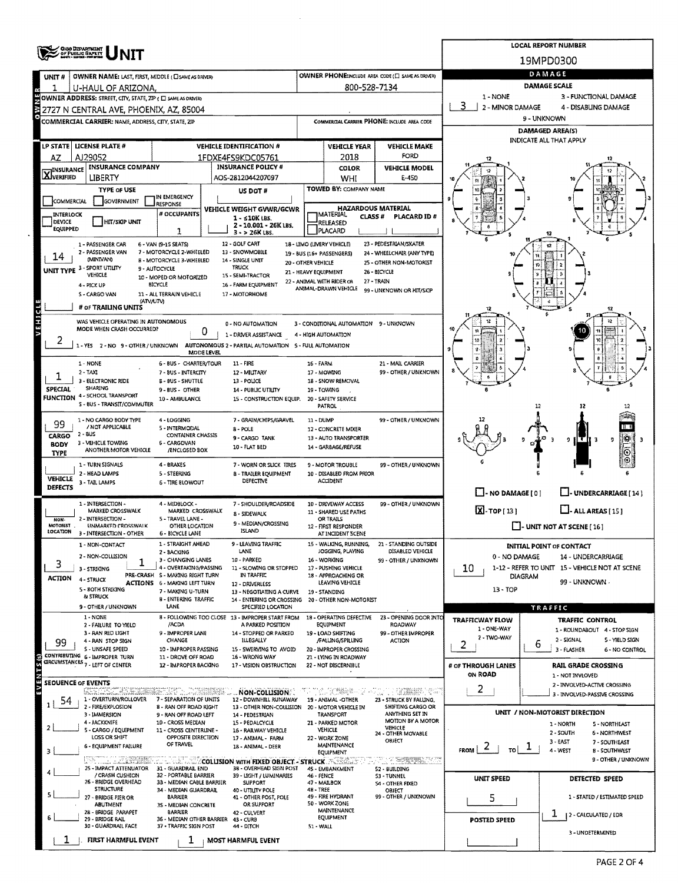|                                                                                                                                                                     | <b>OHO DEPARTMENT<br/>OF PUBLIC BAPETY</b>                              |                                                                                                                                                                   | <b>LOCAL REPORT NUMBER</b>                                   |                                                 |                                                               |                                                            |                                  |                                                                      |  |  |  |  |
|---------------------------------------------------------------------------------------------------------------------------------------------------------------------|-------------------------------------------------------------------------|-------------------------------------------------------------------------------------------------------------------------------------------------------------------|--------------------------------------------------------------|-------------------------------------------------|---------------------------------------------------------------|------------------------------------------------------------|----------------------------------|----------------------------------------------------------------------|--|--|--|--|
|                                                                                                                                                                     |                                                                         |                                                                                                                                                                   | 19MPD0300                                                    |                                                 |                                                               |                                                            |                                  |                                                                      |  |  |  |  |
| UNIT#                                                                                                                                                               | OWNER NAME: LAST, FIRST, MIDDLE (CISAME AS DRIVER)                      |                                                                                                                                                                   |                                                              |                                                 |                                                               | OWNER PHONE: INCLUDE AREA CODE (E) SAME AS DRIVER)         | DAMAGE                           |                                                                      |  |  |  |  |
|                                                                                                                                                                     | U-HAUL OF ARIZONA,                                                      |                                                                                                                                                                   | 800-528-7134                                                 | <b>DAMAGE SCALE</b>                             |                                                               |                                                            |                                  |                                                                      |  |  |  |  |
| 1 - NONE<br>3 - FUNCTIONAL DAMAGE<br>OWNER ADDRESS: STREET, CITY, STATE, ZIP ( C SAME AS DRIVER)<br>3<br>2 - MINOR DAMAGE<br>2727 N CENTRAL AVE, PHOENIX, AZ, 85004 |                                                                         |                                                                                                                                                                   |                                                              |                                                 |                                                               |                                                            |                                  | 4 - DISABLING DAMAGE                                                 |  |  |  |  |
|                                                                                                                                                                     | COMMERCIAL CARRIER: NAME, ADDRESS, CITY, STATE, ZIP                     |                                                                                                                                                                   | COMMERCIAL CARRIER PHONE: INCLUDE AREA CODE                  |                                                 | 9 - UNKNOWN                                                   |                                                            |                                  |                                                                      |  |  |  |  |
|                                                                                                                                                                     |                                                                         |                                                                                                                                                                   |                                                              | <b>DAMAGED AREA(S)</b>                          |                                                               |                                                            |                                  |                                                                      |  |  |  |  |
|                                                                                                                                                                     | LP STATE   LICENSE PLATE #                                              |                                                                                                                                                                   | <b>VEHICLE IDENTIFICATION #</b>                              |                                                 | <b>VEHICLE YEAR</b>                                           | <b>VEHICLE MAKE</b>                                        | <b>INDICATE ALL THAT APPLY</b>   |                                                                      |  |  |  |  |
| AZ                                                                                                                                                                  | AJ29052                                                                 |                                                                                                                                                                   | 1FDXE4FS9KDC05761                                            |                                                 | 2018                                                          | FORD                                                       |                                  |                                                                      |  |  |  |  |
|                                                                                                                                                                     | <b>INSURANCE COMPANY</b><br><b>X</b> INSURANCE                          |                                                                                                                                                                   |                                                              | <b>INSURANCE POLICY #</b>                       | <b>COLOR</b>                                                  | <b>VEHICLE MODEL</b>                                       |                                  |                                                                      |  |  |  |  |
|                                                                                                                                                                     | LIBERTY<br>TYPE OF USE                                                  |                                                                                                                                                                   |                                                              | AOS-2812044207097                               | WHI<br>TOWED BY: COMPANY NAME                                 | E-450                                                      |                                  |                                                                      |  |  |  |  |
| COMMERCIAL                                                                                                                                                          | GOVERNMENT                                                              | IN EMERGENCY                                                                                                                                                      | US DOT #                                                     |                                                 |                                                               |                                                            |                                  |                                                                      |  |  |  |  |
| INTERLOCK                                                                                                                                                           |                                                                         | RESPONSE<br># OCCUPANTS                                                                                                                                           | <b>VEHICLE WEIGHT GVWR/GCWR</b>                              |                                                 | <b>IMATERIAL</b>                                              | <b>HAZARDOUS MATERIAL</b><br><b>CLASS#</b><br>PLACARD ID # |                                  |                                                                      |  |  |  |  |
| DEVICE<br><b>EQUIPPED</b>                                                                                                                                           | <b>HIT/SKIP UNIT</b>                                                    |                                                                                                                                                                   | $1 - 510K$ LBS.<br>2 - 10.001 - 26K LBS.                     |                                                 | RELEASED                                                      |                                                            |                                  |                                                                      |  |  |  |  |
|                                                                                                                                                                     |                                                                         | 1                                                                                                                                                                 | 3 - > 26K LBS.                                               |                                                 | PLACARD                                                       | 23 - PEDESTRIAN/SKATER                                     |                                  |                                                                      |  |  |  |  |
|                                                                                                                                                                     | 1 - PASSENGER CAR<br>2 - PASSENGER VAN                                  | 6 - VAN (9-15 SEATS)<br>7 - MOTORCYCLE 2-WHEELED                                                                                                                  | 12 - GOLF CART<br>13 - SNOWMOBILE                            |                                                 | 18 - LIMO (LIVERY VEHICLE)<br>19 - BUS (16+ PASSENGERS)       | 24 - WHEELCHAIR (ANY TYPE)                                 |                                  |                                                                      |  |  |  |  |
| 14                                                                                                                                                                  | (MINIVAN)<br>UNIT TYPE 3 - SPORT UTILITY                                | 8 - MOTORCYCLE 3-WHEELED<br>9 - AUTOCYCLE                                                                                                                         | 14 - SINGLE UNIT<br><b>TRUCK</b>                             | 20 - OTHER VEHICLE                              |                                                               | 25 - OTHER NON-MOTORIST                                    |                                  |                                                                      |  |  |  |  |
|                                                                                                                                                                     | VEHICLE                                                                 | 10 - MOPED OR MOTORIZED                                                                                                                                           | 15 - SEMI-TRACTOR                                            | 21 - HEAVY EQUIPMENT                            | 22 - ANIMAL WITH RIDER OR                                     | 26 - BICYCLE<br>27 - TRAIN                                 |                                  |                                                                      |  |  |  |  |
|                                                                                                                                                                     | 4 - PICK UP<br>S - CARGO VAN                                            | BICYCLE<br>11 - ALL TERRAIN VEHICLE                                                                                                                               | 16 - FARM EQUIPMENT<br>17 - MOTORHOME                        |                                                 | ANIMAL-DRAWN VEHICLE                                          | 99 - UNKNOWN OR HIT/SKIP                                   |                                  |                                                                      |  |  |  |  |
|                                                                                                                                                                     | (ATV/UTV)<br># of TRAILING UNITS                                        |                                                                                                                                                                   |                                                              |                                                 |                                                               |                                                            |                                  | 12                                                                   |  |  |  |  |
| VEHICLE                                                                                                                                                             | WAS VEHICLE OPERATING IN AUTONOMOUS                                     |                                                                                                                                                                   |                                                              |                                                 |                                                               |                                                            |                                  |                                                                      |  |  |  |  |
|                                                                                                                                                                     | MODE WHEN CRASH OCCURRED?                                               |                                                                                                                                                                   | 0 - NO AUTOMATION<br>0<br>1 - DRIVER ASSISTANCE              |                                                 | 3 - CONDITIONAL AUTOMATION 9 - UNKNOWN<br>4 - HIGH AUTOMATION |                                                            |                                  |                                                                      |  |  |  |  |
|                                                                                                                                                                     | 1-YES 2-NO 9-OTHER/UNKNOWN                                              |                                                                                                                                                                   | AUTONOMOUS 2 - PARTIAL AUTOMATION 5 - FULL AUTOMATION        |                                                 |                                                               |                                                            |                                  |                                                                      |  |  |  |  |
|                                                                                                                                                                     |                                                                         | MODE LEVEL                                                                                                                                                        | $11 - FIRL$                                                  |                                                 |                                                               |                                                            |                                  |                                                                      |  |  |  |  |
|                                                                                                                                                                     | 1 - NONE<br>$2 - TAY$                                                   | 6 - BUS - CHARTER/TOUR<br>7 - BUS - INTERCITY                                                                                                                     | 12 - MILITARY                                                |                                                 | 16 - FARM<br>17 - MOWING                                      | 21 - MAIL CARRIER<br>99 - OTHER / UNKNOWN                  |                                  |                                                                      |  |  |  |  |
| SPECIAL                                                                                                                                                             | 3 - ELECTRONIC RIDE<br>SHARING                                          | 8 - BUS - SHUTTLE                                                                                                                                                 | 13 - POLICE                                                  |                                                 | 18 - SNOW REMOVAL                                             |                                                            |                                  |                                                                      |  |  |  |  |
| <b>FUNCTION</b>                                                                                                                                                     | 4 - SCHOOL TRANSPORT                                                    | 9 - BUS - OTHER<br>10 - AMBULANCE                                                                                                                                 | 14 - PUBLIC UTILITY                                          | 15 - CONSTRUCTION EQUIP.                        | 19 - TOWING<br>20 - SAFETY SERVICE                            |                                                            |                                  |                                                                      |  |  |  |  |
|                                                                                                                                                                     | S - BUS - TRANSIT/COMMUTER                                              |                                                                                                                                                                   |                                                              |                                                 | PATROL                                                        |                                                            |                                  | 12<br>12                                                             |  |  |  |  |
| 99                                                                                                                                                                  | 1 - NO CARGO BODY TYPE<br>/ NOT APPLICABLE                              | 4 - LOGGING<br>5 - INTERMODAL                                                                                                                                     | 7 - GRAIN/CHIPS/GRAVEL<br>8 - POLE                           |                                                 | 11 - DUMP<br>12 - CONCRETE MIXER                              | 99 - OTHER / UNKNOWN                                       |                                  |                                                                      |  |  |  |  |
| CARGO                                                                                                                                                               | 2 BUS<br><b>CONTAINER CHASSIS</b><br>3 - VEHICLE TOWING<br>6 - CARGOVAN |                                                                                                                                                                   |                                                              | 9 - CARGO TANK                                  | 13 - AUTO TRANSPORTER                                         |                                                            |                                  | i XI<br>9 I<br>FU 3<br>a.                                            |  |  |  |  |
| <b>BODY</b><br><b>TYPE</b>                                                                                                                                          | ANOTHER MOTOR VEHICLE                                                   |                                                                                                                                                                   | Ю                                                            |                                                 |                                                               |                                                            |                                  |                                                                      |  |  |  |  |
|                                                                                                                                                                     | 1 - TURN SIGNALS                                                        | 4 - BRAKES                                                                                                                                                        |                                                              | 7 - WORN OR SLICK TIRES                         | 9 - MOTOR TROUBLE                                             | 99 - OTHER / UNKNOWN                                       |                                  |                                                                      |  |  |  |  |
| <b>VEHICLE</b>                                                                                                                                                      | 2 - HEAD LAMPS<br>3 - TAIL LAMPS                                        | 5 - STEERING<br><b>6 - TIRE BLOWOUT</b>                                                                                                                           | <b>8 - TRAILER EQUIPMENT</b><br>DEFECTIVE                    |                                                 | 10 - DISABLED FROM PRIOR<br>ACCIDENT                          |                                                            |                                  |                                                                      |  |  |  |  |
| <b>DEFECTS</b>                                                                                                                                                      |                                                                         |                                                                                                                                                                   |                                                              |                                                 |                                                               |                                                            | $\Box$ - NO DAMAGE [ 0 ]         | U-UNDERCARRIAGE [14]                                                 |  |  |  |  |
|                                                                                                                                                                     | 1 - INTERSECTION -<br>MARKED CROSSWALK                                  | 4 - MIDBLOCK -<br>MARKED CROSSWALK                                                                                                                                | 7 - SHOULDER/ROADSIDE<br>8 - SIDEWALK                        |                                                 | 10 - DRIVEWAY ACCESS<br>11 - SHARED USE PATHS                 | 99 - OTHER / UNKNOWN                                       |                                  | $X$ -TOP $[13]$<br>$\Box$ - ALL AREAS [ 15 ]                         |  |  |  |  |
| NON-<br>MOTORIST                                                                                                                                                    | 2 - INTERSECTION -<br><b>UNMARKED CROSSWALK</b>                         | 5 - TRAVEL LANE -<br>OTHER LOCATION                                                                                                                               | 9 - MEDIAN/CROSSING                                          |                                                 | OR TRAILS<br>12 - FIRST RESPONDER                             |                                                            |                                  | $\Box$ - UNIT NOT AT SCENE [ $16$ ]                                  |  |  |  |  |
| LOCATION                                                                                                                                                            | 3 - INTERSECTION - OTHER                                                | 6 - BICYCLE LANE                                                                                                                                                  | ISLAND                                                       |                                                 | AT INCIDENT SCENE                                             |                                                            |                                  |                                                                      |  |  |  |  |
|                                                                                                                                                                     | 1 - NON-CONTACT                                                         | 1 - STRAIGHT AHEAD<br>2 - BACKING                                                                                                                                 | 9 - LEAVING TRAFFIC<br>LANE                                  |                                                 | 15 - WALKING, RUNNING,<br>JOGGING, PLAYING                    | 21 - STANDING OUTSIDE<br>DISABLED VEHICLE                  |                                  | <b>INITIAL POINT OF CONTACT</b>                                      |  |  |  |  |
| 3                                                                                                                                                                   | 2 - NON-COLLISION<br>3 - STRIKING                                       | 3 - CHANGING LANES<br>4 - OVERTAKING/PASSING                                                                                                                      | 10 - PARKED                                                  | 11 - SLOWING OR STOPPED                         | 16 - WORKING<br>17 - PUSHING VEHICLE                          | 99 - OTHER / UNKNOWN                                       | 0 - NO DAMAGE<br>10              | 14 - UNDERCARRIAGE<br>1-12 - REFER TO UNIT 15 - VEHICLE NOT AT SCENE |  |  |  |  |
| ACTION                                                                                                                                                              | 4 - STRUCK                                                              | PRE-CRASH S - MAKING RIGHT TURN                                                                                                                                   | IN TRAFFIC                                                   |                                                 | 18 - APPROACHING OR                                           |                                                            | <b>DIAGRAM</b><br>99 - UNKNOWN / |                                                                      |  |  |  |  |
|                                                                                                                                                                     | 5 - 80TH STRIKING                                                       | <b>ACTIONS 6 - MAKING LEFT TURN</b><br>7 - MAKING U-TURN                                                                                                          | 12 - DRIVERLESS                                              | 13 - NEGOTIATING A CURVE                        | LEAVING VEHICLE<br>19 - STANDING                              |                                                            | $13 - TOP$                       |                                                                      |  |  |  |  |
|                                                                                                                                                                     | <b>&amp; STRUCK</b><br>9 - OTHER / UNKNOWN                              | <b>B - ENTERING TRAFFIC</b><br>LANE                                                                                                                               |                                                              | 14 - ENTERING OR CROSSING<br>SPECIFIED LOCATION | 20 - OTHER NON-MOTORIST                                       |                                                            |                                  | TRAFFIC                                                              |  |  |  |  |
|                                                                                                                                                                     | 1 - NONE                                                                |                                                                                                                                                                   | 8 - FOLLOWING TOO CLOSE 13 - IMPROPER START FROM             |                                                 | 18 - OPERATING DEFECTIVE                                      | 23 - OPENING DOOR INTO                                     | <b>TRAFFICWAY FLOW</b>           | <b>TRAFFIC CONTROL</b>                                               |  |  |  |  |
|                                                                                                                                                                     | 2 - FAILURE TO YIELD<br>3 - RAN RED LIGHT                               | /ACDA<br>9 - IMPROPER LANE                                                                                                                                        | 14 - STOPPED OR PARKED                                       | A PARKED POSITION                               | EQUIPMENT<br>19 - LOAD SHIFTING                               | ROADWAY<br>99 - OTHER IMPROPER                             | 1 - ONE-WAY                      | 1 - ROUNDABOUT 4 - STOP SIGN                                         |  |  |  |  |
| 99                                                                                                                                                                  | 4 - RAN STOP SIGN<br>S - UNSAFE SPEED                                   | CHANGE<br>10 - IMPROPER PASSING                                                                                                                                   | <b>ILLEGALLY</b><br>15 - SWERVING TO AVOID                   |                                                 | /FALLING/SPILLING<br>20 - IMPROPER CROSSING                   | ACTION                                                     | 2 - TWO-WAY<br>2                 | 2 - SIGNAL<br>S - YIELD SIGN<br>6<br>3 - FLASHER<br>6 - NO CONTROL   |  |  |  |  |
|                                                                                                                                                                     | CONTRIBUTING 6 - IMPROPER TURN<br>CIRCUMSTANCES 7 - LEFT OF CENTER      | 11 - DROVE OFF ROAD                                                                                                                                               | 16 - WRONG WAY                                               |                                                 | 21 - LYING IN ROADWAY                                         |                                                            |                                  |                                                                      |  |  |  |  |
| EVENTS (S)                                                                                                                                                          |                                                                         | 12 - IMPROPER BACKING                                                                                                                                             | 17 - VISION OBSTRUCTION                                      |                                                 | 22 - NOT DISCERNIBLE                                          |                                                            | # OF THROUGH LANES<br>ON ROAD    | RAIL GRADE CROSSING<br>1 - NOT INVLOVED                              |  |  |  |  |
| <b>SEOUENCE OF EVENTS</b>                                                                                                                                           |                                                                         | urdikt i Albertha                                                                                                                                                 |                                                              |                                                 | ti Greek                                                      | ・ここ、御無線との                                                  | 2                                | 2 - INVOLVED-ACTIVE CROSSING                                         |  |  |  |  |
| 54                                                                                                                                                                  | 511. Samska<br>1 - OVERTURN/ROLLOVER                                    | 7 - SEPARATION OF UNITS                                                                                                                                           | NON-COLLISION                                                | 12 - DOWNHILL RUNAWAY                           | 19 - ANIMAL - OTHER                                           | 23 - STRUCK BY FALLING,                                    |                                  | 3 - INVOLVED-PASSIVE CROSSING                                        |  |  |  |  |
|                                                                                                                                                                     | 2 - FIRE/EXPLOSION<br>3 - IMMERSION                                     | 8 - RAN OFF ROAD RIGHT<br>9 - RAN OFF ROAD LEFT                                                                                                                   | 14 - PEDESTRIAN                                              | 13 - OTHER NON-COLLISION                        | 20 - MOTOR VEHICLE IN<br><b>TRANSPORT</b>                     | SHIFTING CARGO OR<br>ANYTHING SET IN                       |                                  | UNIT / NON-MOTORIST DIRECTION                                        |  |  |  |  |
|                                                                                                                                                                     | 4 - JACKKNIFE<br>5 - CARGO / EQUIPMENT                                  | 10 - CROSS MEDIAN                                                                                                                                                 | 15 - PEDALCYCLE                                              |                                                 | 21 - PARKED MOTOR<br>VEHICLE                                  | MOTION 8Y A MOTOR<br>VEHICLE                               |                                  | 1 - NORTH<br><b>S - NORTHEAST</b>                                    |  |  |  |  |
|                                                                                                                                                                     | LOSS OR SHIFT                                                           | 11 - CROSS CENTERLINE -<br><b>16 - RAILWAY VEHICLE</b><br>24 - OTHER MOVABLE<br>OPPOSITE DIRECTION<br>17 - ANIMAL - FARM<br>22 - WORK ZONE<br>OBJECT<br>OF TRAVEL |                                                              |                                                 |                                                               |                                                            |                                  | 2 - SOUTH<br><b>6 - NORTHWEST</b><br>$3 - EAST$<br>7 - SOUTHEAST     |  |  |  |  |
|                                                                                                                                                                     | <b>6 - EQUIPMENT FAILURE</b>                                            |                                                                                                                                                                   | 18 - ANIMAL - DEER                                           |                                                 | <b>MAINTENANCE</b><br>EQUIPMENT                               |                                                            | $\mathbf{Z}$<br>FROM<br>TO       | $\perp$<br>4 - WEST<br>8 - SOUTHWEST                                 |  |  |  |  |
|                                                                                                                                                                     | DROGO DE LA STANDA<br>25 - IMPACT ATTENUATOR                            | 31 - GUARDRAIL END                                                                                                                                                | <b>EXAMPLE COLUSION WITH FIXED OBJECT - STRUCK AND LOCAL</b> | 38 - OVERHEAD SIGN POST                         | 4S - EMBANKMENT                                               | 는 개 기 <del>대에서</del> 개 개 개 개<br>52 - SUILDING              |                                  | 9 - OTHER / UNKNOWN                                                  |  |  |  |  |
|                                                                                                                                                                     | / CRASH CUSHION<br>26 - 8RIDGE OVERHEAD                                 | 32 - PORTABLE BARRIER<br>33 - MEDIAN CABLE BARRIER                                                                                                                | 39 - LIGHT / LUMINARIES<br><b>SUPPORT</b>                    |                                                 | 46 - FENCE<br>47 - MAILBOX                                    | S3 - TUNNEL<br><b>S4 - OTHER FIXED</b>                     | <b>UNIT SPEED</b>                | DETECTED SPEED                                                       |  |  |  |  |
|                                                                                                                                                                     | STRUCTURE<br>27 - BRIDGE PIER OR                                        | 34 - MEDIAN GUARDRAIL<br>BARRIER                                                                                                                                  | 40 - UTILITY POLE<br>41 - OTHER POST, POLE                   |                                                 | 48 - TREE<br>49 - FIRE HYDRANT                                | OBJECT<br>99 - OTHER / UNKNOWN                             | 5                                | 1 - STATED / ESTIMATED SPEED                                         |  |  |  |  |
|                                                                                                                                                                     | ABUTMENT<br>28 - BRIDGE PARAPET                                         | 50 - WORK ZONE<br>OR SUPPORT<br>35 - MEDIAN CONCRETE<br>MAINTENANCE<br>BARRIER<br>42 - CULVERT                                                                    |                                                              |                                                 |                                                               |                                                            |                                  |                                                                      |  |  |  |  |
|                                                                                                                                                                     | 29 - BRIDGE RAIL<br>30 - GUARDRAIL FACE                                 | 36 - MEDIAN OTHER BARRIER<br>37 - TRAFFIC SIGN POST                                                                                                               | 43 - CURB<br>44 - DITCH                                      |                                                 | EQUIPMENT<br>51 - WALL                                        |                                                            | <b>POSTED SPEED</b>              | ı<br>  2 - CALCULATED / EDR                                          |  |  |  |  |
|                                                                                                                                                                     |                                                                         |                                                                                                                                                                   |                                                              |                                                 |                                                               |                                                            |                                  | 3 - UNDETERMINED                                                     |  |  |  |  |
|                                                                                                                                                                     | <b>FIRST HARMFUL EVENT</b>                                              | ı                                                                                                                                                                 | <b>MOST HARMFUL EVENT</b>                                    |                                                 |                                                               |                                                            |                                  |                                                                      |  |  |  |  |

 $\mathcal{A}^{\mathcal{A}}$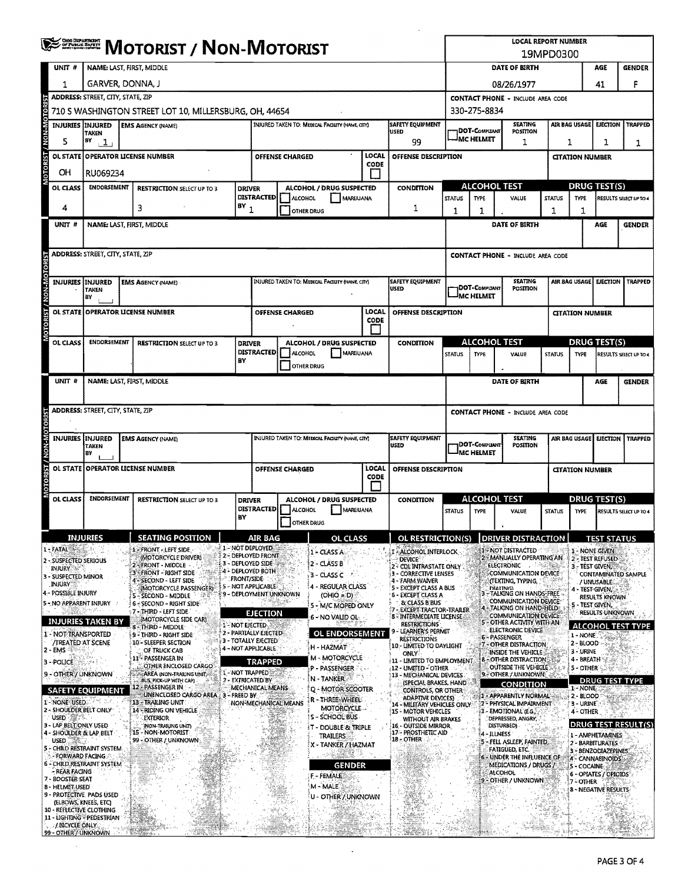|                                                        | <b>CHIG DEPARTMENT</b><br>- Of Public Bafett<br>- Chicago Persona<br><b>MOTORIST / NON-MOTORIST</b>                                                         |                                                                        |                             |                                           |                                                                                           |                                                 | <b>LOCAL REPORT NUMBER</b><br>19MPD0300 |                                                                            |                 |                                          |                                                                                   |                                                           |                                         |                    |                                |
|--------------------------------------------------------|-------------------------------------------------------------------------------------------------------------------------------------------------------------|------------------------------------------------------------------------|-----------------------------|-------------------------------------------|-------------------------------------------------------------------------------------------|-------------------------------------------------|-----------------------------------------|----------------------------------------------------------------------------|-----------------|------------------------------------------|-----------------------------------------------------------------------------------|-----------------------------------------------------------|-----------------------------------------|--------------------|--------------------------------|
| UNIT #                                                 | NAME: LAST, FIRST, MIDDLE                                                                                                                                   |                                                                        |                             |                                           |                                                                                           |                                                 |                                         | DATE OF BIRTH                                                              |                 |                                          |                                                                                   | AGE                                                       | <b>GENDER</b>                           |                    |                                |
| 1                                                      | GARVER, DONNA, J                                                                                                                                            |                                                                        |                             |                                           |                                                                                           |                                                 | 08/26/1977                              |                                                                            |                 |                                          |                                                                                   | 41                                                        | F                                       |                    |                                |
|                                                        | ADDRESS: STREET, CITY, STATE, ZIP                                                                                                                           |                                                                        |                             |                                           |                                                                                           |                                                 |                                         | <b>CONTACT PHONE - INCLUDE AREA CODE</b>                                   |                 |                                          |                                                                                   |                                                           |                                         |                    |                                |
| <b>BOTO</b>                                            | 710 S WASHINGTON STREET LOT 10, MILLERSBURG, OH, 44654<br>330-275-8834                                                                                      |                                                                        |                             |                                           |                                                                                           |                                                 |                                         |                                                                            |                 |                                          |                                                                                   |                                                           |                                         |                    |                                |
|                                                        | INJURIES INJURED<br><b>EMS AGENCY (NAME)</b><br><b>TAKEN</b>                                                                                                |                                                                        |                             |                                           | <b>SAFETY EQUIPMENT</b><br>INJURED TAKEN TO: MEDICAL FACILITY (NAME, CITY)<br><b>USED</b> |                                                 |                                         | <b>SEATING</b><br>DOT-Compliant<br><b>POSITION</b>                         |                 |                                          |                                                                                   | <b>AIR BAG USAGE</b><br><b>EJECTION</b><br><b>TRAPPED</b> |                                         |                    |                                |
| 5                                                      | BY<br>1,                                                                                                                                                    |                                                                        |                             |                                           |                                                                                           |                                                 |                                         | 99                                                                         | JMC HELMET<br>1 |                                          |                                                                                   |                                                           | 1<br>1<br>1                             |                    |                                |
| IN-NON? T213001-01                                     | LOCAL<br><b>OPERATOR LICENSE NUMBER</b><br><b>OL STATE</b><br><b>OFFENSE DESCRIPTION</b><br><b>OFFENSE CHARGED</b><br><b>CITATION NUMBER</b><br><b>CODE</b> |                                                                        |                             |                                           |                                                                                           |                                                 |                                         |                                                                            |                 |                                          |                                                                                   |                                                           |                                         |                    |                                |
| OН<br>OL CLASS                                         | RU069234<br><b>ENDORSEMENT</b>                                                                                                                              |                                                                        |                             |                                           | ALCOHOL / DRUG SUSPECTED<br>CONDITION                                                     |                                                 |                                         | <b>ALCOHOL TEST</b>                                                        |                 |                                          |                                                                                   | DRUG TEST(S)                                              |                                         |                    |                                |
|                                                        |                                                                                                                                                             | <b>RESTRICTION SELECT UP TO 3</b>                                      | <b>DRIVER</b>               | <b>DISTRACTED</b>                         | ALCOHOL                                                                                   | <b>MARIJUANA</b>                                |                                         |                                                                            | <b>STATUS</b>   | <b>TYPE</b>                              | VALUE                                                                             | <b>STATUS</b>                                             | <b>TYPE</b>                             |                    | RESULTS SELECT UP TO 4         |
| 4                                                      |                                                                                                                                                             | 3                                                                      | $BY_1$                      |                                           | <b>OTHER DRUG</b>                                                                         |                                                 |                                         | 1                                                                          | 1               | 1                                        |                                                                                   | 1                                                         | 1                                       |                    |                                |
| UNIT #                                                 |                                                                                                                                                             | NAME: LAST, FIRST, MIDDLE                                              |                             |                                           |                                                                                           |                                                 |                                         |                                                                            |                 |                                          | DATE OF BIRTH                                                                     |                                                           |                                         | AGE                | <b>GENDER</b>                  |
|                                                        |                                                                                                                                                             |                                                                        |                             |                                           |                                                                                           |                                                 |                                         |                                                                            |                 |                                          |                                                                                   |                                                           |                                         |                    |                                |
| MOTORIST / NON-MOTORIST                                | <b>ADDRESS: STREET, CITY, STATE, ZIP</b>                                                                                                                    |                                                                        |                             |                                           |                                                                                           |                                                 |                                         |                                                                            |                 |                                          | <b>CONTACT PHONE - INCLUDE AREA CODE</b>                                          |                                                           |                                         |                    |                                |
| <b>INJURIES</b>                                        | INJURED                                                                                                                                                     | <b>EMS AGENCY (NAME)</b>                                               |                             |                                           |                                                                                           | INJURED TAKEN TO: MEDICAL FACILITY (NAME, CITY) |                                         | <b>SAFETY EQUIPMENT</b>                                                    |                 |                                          | <b>SEATING</b>                                                                    |                                                           | AIR BAG USAGE                           | <b>EJECTION</b>    | <b>TRAPPED</b>                 |
|                                                        | <b>TAKEN</b><br>BΥ                                                                                                                                          |                                                                        |                             |                                           |                                                                                           |                                                 |                                         | USED                                                                       |                 | <b>DOT-COMPLIANT</b><br><b>MC HELMET</b> | POSITION                                                                          |                                                           |                                         |                    |                                |
|                                                        |                                                                                                                                                             | OL STATE OPERATOR LICENSE NUMBER                                       |                             |                                           | OFFENSE CHARGED                                                                           |                                                 | LOCAL                                   | <b>OFFENSE DESCRIPTION</b>                                                 |                 |                                          |                                                                                   |                                                           | <b>CITATION NUMBER</b>                  |                    |                                |
|                                                        |                                                                                                                                                             |                                                                        |                             |                                           |                                                                                           |                                                 | CODE<br>$\blacksquare$                  |                                                                            |                 |                                          |                                                                                   |                                                           |                                         |                    |                                |
| OL CLASS                                               | <b>ENDORSEMENT</b>                                                                                                                                          | <b>RESTRICTION SELECT UP TO 3</b>                                      | <b>DRIVER</b>               | <b>DISTRACTED</b>                         |                                                                                           | ALCOHOL / DRUG SUSPECTED                        |                                         | <b>CONDITION</b>                                                           |                 | <b>ALCOHOL TEST</b>                      |                                                                                   |                                                           | <b>DRUG TEST(S)</b>                     |                    |                                |
|                                                        |                                                                                                                                                             |                                                                        | BY                          |                                           | ALCOHOL<br>OTHER DRUG                                                                     | MARIJUANA                                       |                                         |                                                                            | <b>STATUS</b>   | <b>TYPE</b>                              | VALUE                                                                             | <b>STATUS</b>                                             | <b>TYPE</b>                             |                    | <b>RESULTS SELECT UP TO 4</b>  |
| UNIT <sup>#</sup>                                      |                                                                                                                                                             | NAME: LAST, FIRST, MIDDLE                                              |                             |                                           |                                                                                           |                                                 |                                         |                                                                            |                 |                                          | <b>DATE OF BIRTH</b>                                                              |                                                           |                                         | AGE                | <b>GENDER</b>                  |
|                                                        |                                                                                                                                                             |                                                                        |                             |                                           |                                                                                           |                                                 |                                         |                                                                            |                 |                                          |                                                                                   |                                                           |                                         |                    |                                |
|                                                        | ADDRESS: STREET, CITY, STATE, ZIP                                                                                                                           |                                                                        |                             |                                           |                                                                                           |                                                 |                                         |                                                                            |                 |                                          | CONTACT PHONE - INCLUDE AREA CODE                                                 |                                                           |                                         |                    |                                |
|                                                        |                                                                                                                                                             |                                                                        |                             |                                           |                                                                                           |                                                 |                                         |                                                                            |                 |                                          |                                                                                   |                                                           |                                         |                    |                                |
|                                                        | <b>INJURIES INJURED</b><br>TAKEN<br>B٢                                                                                                                      | <b>EMS AGENCY (NAME)</b>                                               |                             |                                           |                                                                                           | INJURED TAKEN TO: MEDICAL FACILITY (NAME, CITY) |                                         | <b>SAFETY EQUIPMENT</b><br>USED                                            |                 | DOT-Compuant<br><b>IMC HELMET</b>        | <b>SEATING</b><br><b>POSITION</b>                                                 |                                                           |                                         |                    | AIR BAG USAGE EJECTION TRAPPED |
| OL STATE                                               |                                                                                                                                                             | <b>OPERATOR LICENSE NUMBER</b>                                         |                             |                                           | OFFENSE CHARGED                                                                           |                                                 | LOCAL                                   | <b>OFFENSE DESCRIPTION</b>                                                 |                 |                                          |                                                                                   |                                                           | <b>CITATION NUMBER</b>                  |                    |                                |
| MOTORIST / NON-MOTORIST                                |                                                                                                                                                             |                                                                        |                             |                                           |                                                                                           |                                                 | CODE                                    |                                                                            |                 |                                          |                                                                                   |                                                           |                                         |                    |                                |
| OL CLASS                                               | <b>ENDORSEMENT</b>                                                                                                                                          | <b>RESTRICTION SELECT UP TO 3</b>                                      | <b>DRIVER</b>               |                                           |                                                                                           | ALCOHOL / DRUG SUSPECTED                        |                                         | CONDITION                                                                  |                 | <b>ALCOHOL TEST</b>                      |                                                                                   |                                                           | <b>DRUG TEST(S)</b>                     |                    |                                |
|                                                        |                                                                                                                                                             |                                                                        | BY                          |                                           | DISTRACTED   ALCOHOL<br><b>OTHER DRUG</b>                                                 | MARUUANA                                        |                                         |                                                                            | <b>STATUS</b>   | TYPE                                     | VALUE                                                                             | <b>STATUS</b>                                             | <b>TYPE</b>                             |                    | RESULTS SELECT UP TO 4         |
|                                                        | <b>INJURIES</b>                                                                                                                                             | <b>SEATING POSITION</b>                                                |                             | <b>AIR BAG</b>                            |                                                                                           | <b>OL CLASS</b>                                 |                                         | OL RESTRICTION(S)                                                          |                 |                                          | <b>DRIVER DISTRACTION</b>                                                         |                                                           |                                         | <b>TEST STATUS</b> |                                |
| 1 - FATAL                                              |                                                                                                                                                             | 1 - FRONT - LEFT SIDE                                                  | <b>AL-NOT DEPLOYED</b>      | <b>22 - DEPLOYED FRONT</b>                |                                                                                           | 1 - CLASS A                                     |                                         | <b>I - ALCOHOL INTERLOCK</b>                                               |                 |                                          | 1 - NOT DISTRACTED                                                                |                                                           | 1 - NONE GIVEN                          |                    |                                |
| 2 - SUSPECTED SERIOUS<br><b>INJURY SET</b>             |                                                                                                                                                             | (MOTORCYCLE DRIVER)<br>FRONT - MIDDLE<br>3 - FRONT - RIGHT SIDE        | <b>A 3 - DEPLOYED SIDE:</b> | 4 - DEPLOYED BOTH                         |                                                                                           | $2 - CLASSB$                                    |                                         | <b>DEVICE</b><br>2 - CDL INTRASTATE ONLY                                   |                 |                                          | 2 - MANUALLY OPERATING AN<br>ELECTRONIC . <b>A SECOND</b><br>COMMUNICATION DEVICE |                                                           | 2 - TEST REFUSED<br>3 - TEST GIVEN      |                    |                                |
| 3 - SUSPECTED MINOR<br><b>INJURY</b>                   |                                                                                                                                                             | 4-SECOND - LEFT SIDE<br>(MOTORCYCLE PASSENGER)                         | FRONT/SIDE                  | 5 - NOT APPLICABLE                        |                                                                                           | 3 - CLASS C<br>4 - REGULAR CLASS                |                                         | <b>3 - CORRECTIVE LENSES</b><br>4 - FARM WAIVER<br>5 - EXCEPT CLASS A BUS  |                 |                                          | (TEXTING, TYPING,<br><b>DIALINGL</b>                                              |                                                           | 4 - Test-Given,                         | / UNUSABLE:        | CONTAMINATED SAMPLE            |
| 4 - POSSIBLE INJURY<br>5 - NO APPARENT INJURY          |                                                                                                                                                             | <b>5-SECOND - MIDDLE</b><br>125<br>∛6.∻SECOND - RIGHT SIDE             |                             | 9 - DEPLOYMENT UNKNOWN                    |                                                                                           | $(OHIO = D)$<br>5 - M/C MOPED ONLY              |                                         | 6 - EXCEPT CLASS A<br><b>&amp; CLASS B BUS</b>                             |                 |                                          | - TALKING ON HANDS-FREE<br>COMMUNICATION DEVICE                                   |                                                           | S - TEST GIVEN.                         | RESULTS KNOWN      |                                |
|                                                        | <b>INJURIES TAKEN BY</b>                                                                                                                                    | 7 - THIRD - LEFT SIDE<br>(MOTORCYCLE SIDE CAR)                         |                             | <b>EJECTION</b>                           |                                                                                           | 6 - NO VALID OL                                 |                                         | 7 - EXCEPT TRACTOR-TRAILER<br>8 - INTERMEDIATE LICENSE                     |                 |                                          | 4 - TALKING ON HAND-HELD<br>COMMUNICATION DEVICE<br>5 - OTHER ACTIVITY WITH AN    |                                                           |                                         | RESULTS UNKNOWN    |                                |
| 1 - NOT TRANSPORTED                                    |                                                                                                                                                             | 8 - THIRD - MIDDLE<br>9 - THIRD - RIGHT SIDE                           | 1-NOT EJECTED               | 2 - PARTIALLY EJECTED                     |                                                                                           | OL ENDORSEMENT                                  |                                         | <b>RESTRICTIONS</b><br>LEARNER'S PERMIT<br><b>RESTRICTIONS</b>             |                 |                                          | ELECTRONIC DEVICE<br>6 - PASSENGER                                                |                                                           | 1 - NONE                                |                    | <b>ALCOHOL TEST TYPE</b>       |
| <b>/TREATED AT SCENE</b><br>2 - EMS                    |                                                                                                                                                             | 10 - SLEEPER SECTION<br>OF TRUCK CAB                                   |                             | 3 - TOTALLY EJECTED<br>4 - NOT APPLICABLE |                                                                                           | H - HAZMAT                                      |                                         | 10 - LIMITED TO DAYLIGHT<br><b>ONLY</b>                                    |                 |                                          | 7 - OTHER DISTRACTION<br><b>INSIDE THE VEHICLE</b>                                |                                                           | 2 - BLOOD<br>3 - URINE                  |                    |                                |
| 3-POLICE                                               |                                                                                                                                                             | 11- PASSENGER IN<br>OTHER ENCLOSED CARGO                               | <b>1 - NOT TRAPPED</b>      | TRAPPED                                   |                                                                                           | M - MOTORCYCLE<br>P - PASSENGER                 |                                         | 11 - LIMITED TO EMPLOYMENT<br><b>12 - UMITED - OTHER</b>                   |                 |                                          | <b>B-OTHER DISTRACTION:</b><br>OUTSIDE THE VEHICLE                                |                                                           | 4 - BREATH<br>5 - OTHER                 |                    |                                |
| 9 - OTHER / UNKNOWN                                    |                                                                                                                                                             | AREA INON-TRAILING UNIT<br>BUS, PICK-UP WITH CAP)<br>12 - PASSENGER IN | 2 - EXTRICATED BY           | MECHANICAL MEANS                          |                                                                                           | N-TANKER                                        |                                         | 13 - MECHANICAL DEVICES<br>(SPECIAL BRAKES, HAND                           |                 |                                          | 9-OTHER / UNKNOWN<br>CONDITION                                                    |                                                           | 1-NONE                                  |                    | <b>DRUG TEST TYPE</b>          |
| 1 - NONE USED.                                         | <b>SAFETY EQUIPMENT</b>                                                                                                                                     | UNENCLOSED CARGO AREA : 3 - FREED BY<br>13 - TRAILING UNIT             |                             |                                           | NON-MECHANICAL MEANS                                                                      | <b>Q - MOTOR SCOOTER</b><br>R-THREE-WHEEL       |                                         | CONTROLS, OR OTHER<br><b>ADAPTIVE DEVICES)</b><br>- MILITARY VEHICLES ONLY |                 |                                          | 1 - APPARENTLY NORMAL<br>2 - PHYSICAL IMPAIRMENT                                  |                                                           | 2 - BLOOD<br>'3 - URINE'                |                    |                                |
| 2 - SHOULDER BELT ONLY<br>USED <b>WERE</b>             |                                                                                                                                                             | 14 RIDING ON VEHICLE<br><b>EXTERIOR</b>                                |                             |                                           |                                                                                           | MOTORCYCLE<br><b>S - SCHOOL BUS</b>             |                                         | 15 - MOTOR VEHICLES<br>WITHOUT AIR BRAKES                                  |                 |                                          | 3 - EMOTIONAL (E.G.)<br>DEPRESSED, ANGRY,                                         |                                                           | 4 - OTHER                               |                    |                                |
| 3 - LAP BELT ONLY USED<br>4 - SHOULDER & LAP BELT      |                                                                                                                                                             | (NON-TRAIUNG UNIT)<br>15 - NON-MOTORIST                                |                             | w                                         |                                                                                           | IT - DOUBLE & TRIPLE<br><b>TRAILERS</b>         |                                         | 16 - OUTSIDE MIRROR<br>17 - PROSTHETIC AID                                 |                 | 4 - ILLNESS                              | DISTURBED)                                                                        |                                                           | 1 - AMPHETAMINES                        |                    | <b>DRUG TEST RESULT(S)</b>     |
| <b>USED</b>                                            | 5 - CHILD RESTRAINT SYSTEM                                                                                                                                  | 99 - OTHER / UNKNOWN                                                   |                             |                                           |                                                                                           | X - TANKER / HAZMAT                             |                                         | 18 - OTHER                                                                 |                 |                                          | 5 - FELL ASLEEP, FAINTED,<br>FATIGUED, ETC.                                       |                                                           | 2 - BARBITURATES<br>3 - BENZODIAZEPINES |                    |                                |
| <b>FORWARD FACING:</b>                                 | <b>6 - CHILD RESTRAINT SYSTEM</b>                                                                                                                           |                                                                        |                             |                                           |                                                                                           | <b>GENDER</b>                                   |                                         |                                                                            |                 |                                          | 6 - UNDER THE INFLUENCE OF<br><b>MEDICATIONS / DRUGS /</b>                        |                                                           | 4 - CANNABINOIDS<br>5 - COCAINE         |                    |                                |
| - REAR FACING<br>7 - BOOSTER SEAT                      |                                                                                                                                                             |                                                                        |                             |                                           |                                                                                           | F - FEMALE                                      |                                         |                                                                            |                 |                                          | <b>ALCOHOL</b><br>9 - OTHER / UNKNOWN                                             |                                                           | 6 - OPIATES / OPIOIDS<br>7 - OTHER      |                    |                                |
| 8 - HELMET USED<br>9 - PROTECTIVE, PADS USED           | (ELBOWS, KNEES, ETC)                                                                                                                                        |                                                                        |                             |                                           |                                                                                           | M - MALE<br>U - OTHER'/ UNKNOWN                 |                                         |                                                                            |                 |                                          |                                                                                   |                                                           | 8 - NEGATIVE RESULTS                    |                    |                                |
| 10 - REFLECTIVE CLOTHING<br>11 - LIGHTING - PEDESTRIAN |                                                                                                                                                             |                                                                        |                             |                                           |                                                                                           |                                                 |                                         |                                                                            |                 |                                          |                                                                                   |                                                           |                                         |                    |                                |
| / BICYCLE ONLY<br>99 - OTHER / UNKNOWN                 |                                                                                                                                                             |                                                                        |                             |                                           |                                                                                           |                                                 |                                         |                                                                            |                 |                                          |                                                                                   |                                                           |                                         |                    |                                |

 $\bar{\mathcal{A}}$ 

 $\sim 10^7$